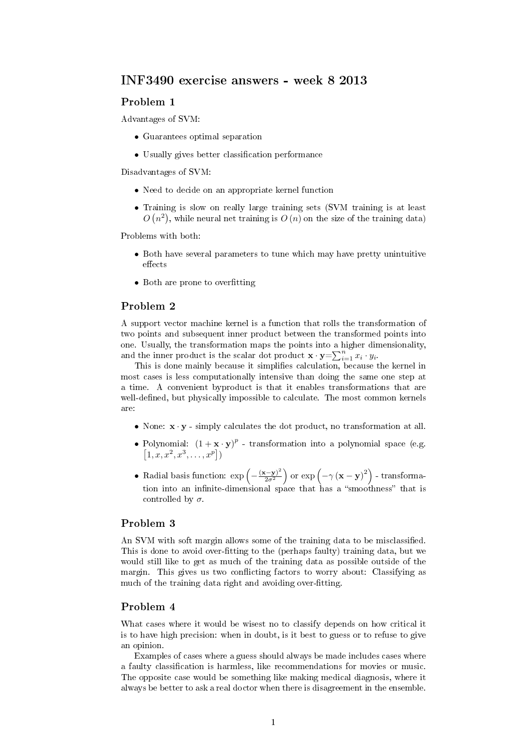# INF3490 exercise answers - week 8 2013

#### Problem 1

Advantages of SVM:

- Guarantees optimal separation
- Usually gives better classification performance

Disadvantages of SVM:

- Need to decide on an appropriate kernel function
- Training is slow on really large training sets (SVM training is at least  $O(n^2)$ , while neural net training is  $O(n)$  on the size of the training data)

Problems with both:

- Both have several parameters to tune which may have pretty unintuitive effects
- Both are prone to overfitting

## Problem 2

A support vector machine kernel is a function that rolls the transformation of two points and subsequent inner product between the transformed points into one. Usually, the transformation maps the points into a higher dimensionality, and the inner product is the scalar dot product  $\mathbf{x} \cdot \mathbf{y} = \sum_{i=1}^{n} x_i \cdot y_i$ .

This is done mainly because it simplifies calculation, because the kernel in most cases is less computationally intensive than doing the same one step at a time. A convenient byproduct is that it enables transformations that are well-defined, but physically impossible to calculate. The most common kernels are:

- None:  $\mathbf{x} \cdot \mathbf{y}$  simply calculates the dot product, no transformation at all.
- Polynomial:  $(1 + \mathbf{x} \cdot \mathbf{y})^p$  transformation into a polynomial space (e.g.  $[1, x, x^2, x^3, \ldots, x^p]$
- Radial basis function:  $\exp\left(-\frac{(\mathbf{x}-\mathbf{y})^2}{2\sigma^2}\right)$  $\left(\frac{(-\mathbf{y})^2}{2\sigma^2}\right)$  or  $\exp\left(-\gamma\left(\mathbf{x}-\mathbf{y}\right)^2\right)$  - transformation into an infinite-dimensional space that has a "smoothness" that is controlled by  $\sigma$ .

## Problem 3

An SVM with soft margin allows some of the training data to be misclassified. This is done to avoid over-fitting to the (perhaps faulty) training data, but we would still like to get as much of the training data as possible outside of the margin. This gives us two conflicting factors to worry about: Classifying as much of the training data right and avoiding over-fitting.

# Problem 4

What cases where it would be wisest no to classify depends on how critical it is to have high precision: when in doubt, is it best to guess or to refuse to give an opinion.

Examples of cases where a guess should always be made includes cases where a faulty classification is harmless, like recommendations for movies or music. The opposite case would be something like making medical diagnosis, where it always be better to ask a real doctor when there is disagreement in the ensemble.